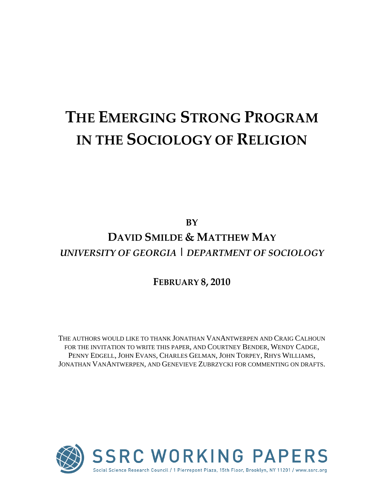# **THE EMERGING STRONG PROGRAM IN THE SOCIOLOGY OF RELIGION**

**BY**

## **DAVID SMILDE & MATTHEW MAY** *UNIVERSITY OF GEORGIA | DEPARTMENT OF SOCIOLOGY*

### **FEBRUARY 8, 2010**

THE AUTHORS WOULD LIKE TO THANK JONATHAN VANANTWERPEN AND CRAIG CALHOUN FOR THE INVITATION TO WRITE THIS PAPER, AND COURTNEY BENDER, WENDY CADGE, PENNY EDGELL, JOHN EVANS, CHARLES GELMAN, JOHN TORPEY, RHYS WILLIAMS, JONATHAN VANANTWERPEN, AND GENEVIEVE ZUBRZYCKI FOR COMMENTING ON DRAFTS.

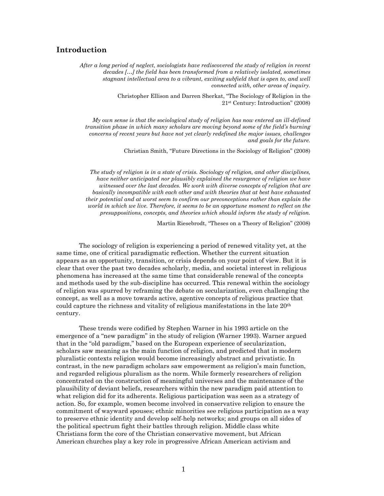#### **Introduction**

*After a long period of neglect, sociologists have rediscovered the study of religion in recent decades […] the field has been transformed from a relatively isolated, sometimes stagnant intellectual area to a vibrant, exciting subfield that is open to, and well connected with, other areas of inquiry.* 

> Christopher Ellison and Darren Sherkat, "The Sociology of Religion in the 21st Century: Introduction" (2008)

*My own sense is that the sociological study of religion has now entered an ill-defined transition phase in which many scholars are moving beyond some of the field's burning concerns of recent years but have not yet clearly redefined the major issues, challenges and goals for the future.* 

Christian Smith, "Future Directions in the Sociology of Religion" (2008)

*The study of religion is in a state of crisis. Sociology of religion, and other disciplines, have neither anticipated nor plausibly explained the resurgence of religion we have witnessed over the last decades. We work with diverse concepts of religion that are basically incompatible with each other and with theories that at best have exhausted their potential and at worst seem to confirm our preconceptions rather than explain the world in which we live. Therefore, it seems to be an opportune moment to reflect on the presuppositions, concepts, and theories which should inform the study of religion.* 

Martin Riesebrodt, "Theses on a Theory of Religion" (2008)

The sociology of religion is experiencing a period of renewed vitality yet, at the same time, one of critical paradigmatic reflection. Whether the current situation appears as an opportunity, transition, or crisis depends on your point of view. But it is clear that over the past two decades scholarly, media, and societal interest in religious phenomena has increased at the same time that considerable renewal of the concepts and methods used by the sub-discipline has occurred. This renewal within the sociology of religion was spurred by reframing the debate on secularization, even challenging the concept, as well as a move towards active, agentive concepts of religious practice that could capture the richness and vitality of religious manifestations in the late 20th century.

These trends were codified by Stephen Warner in his 1993 article on the emergence of a "new paradigm" in the study of religion (Warner 1993). Warner argued that in the "old paradigm," based on the European experience of secularization, scholars saw meaning as the main function of religion, and predicted that in modern pluralistic contexts religion would become increasingly abstract and privatistic. In contrast, in the new paradigm scholars saw empowerment as religion's main function, and regarded religious pluralism as the norm. While formerly researchers of religion concentrated on the construction of meaningful universes and the maintenance of the plausibility of deviant beliefs, researchers within the new paradigm paid attention to what religion did for its adherents. Religious participation was seen as a strategy of action. So, for example, women become involved in conservative religion to ensure the commitment of wayward spouses; ethnic minorities see religious participation as a way to preserve ethnic identity and develop self-help networks; and groups on all sides of the political spectrum fight their battles through religion. Middle class white Christians form the core of the Christian conservative movement, but African American churches play a key role in progressive African American activism and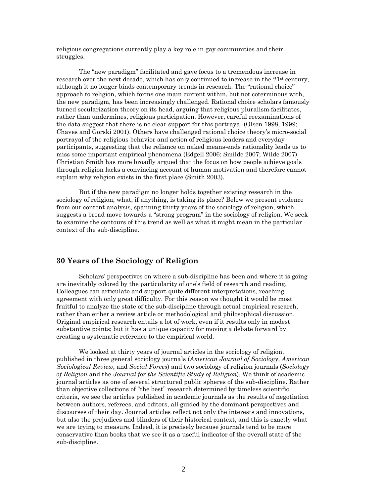religious congregations currently play a key role in gay communities and their struggles.

 The "new paradigm" facilitated and gave focus to a tremendous increase in research over the next decade, which has only continued to increase in the  $21<sup>st</sup>$  century, although it no longer binds contemporary trends in research. The "rational choice" approach to religion, which forms one main current within, but not coterminous with, the new paradigm, has been increasingly challenged. Rational choice scholars famously turned secularization theory on its head, arguing that religious pluralism facilitates, rather than undermines, religious participation. However, careful reexaminations of the data suggest that there is no clear support for this portrayal (Olsen 1998, 1999; Chaves and Gorski 2001). Others have challenged rational choice theory's micro-social portrayal of the religious behavior and action of religious leaders and everyday participants, suggesting that the reliance on naked means-ends rationality leads us to miss some important empirical phenomena (Edgell 2006; Smilde 2007; Wilde 2007). Christian Smith has more broadly argued that the focus on how people achieve goals through religion lacks a convincing account of human motivation and therefore cannot explain why religion exists in the first place (Smith 2003).

 But if the new paradigm no longer holds together existing research in the sociology of religion, what, if anything, is taking its place? Below we present evidence from our content analysis, spanning thirty years of the sociology of religion, which suggests a broad move towards a "strong program" in the sociology of religion. We seek to examine the contours of this trend as well as what it might mean in the particular context of the sub-discipline.

#### **30 Years of the Sociology of Religion**

Scholars' perspectives on where a sub-discipline has been and where it is going are inevitably colored by the particularity of one's field of research and reading. Colleagues can articulate and support quite different interpretations, reaching agreement with only great difficulty. For this reason we thought it would be most fruitful to analyze the state of the sub-discipline through actual empirical research, rather than either a review article or methodological and philosophical discussion. Original empirical research entails a lot of work, even if it results only in modest substantive points; but it has a unique capacity for moving a debate forward by creating a systematic reference to the empirical world.

We looked at thirty years of journal articles in the sociology of religion, published in three general sociology journals (*American Journal of Sociology*, *American Sociological Review*, and *Social Forces*) and two sociology of religion journals (*Sociology of Religion* and the *Journal for the Scientific Study of Religion*). We think of academic journal articles as one of several structured public spheres of the sub-discipline. Rather than objective collections of "the best" research determined by timeless scientific criteria, we see the articles published in academic journals as the results of negotiation between authors, referees, and editors, all guided by the dominant perspectives and discourses of their day. Journal articles reflect not only the interests and innovations, but also the prejudices and blinders of their historical context, and this is exactly what we are trying to measure. Indeed, it is precisely because journals tend to be more conservative than books that we see it as a useful indicator of the overall state of the sub-discipline.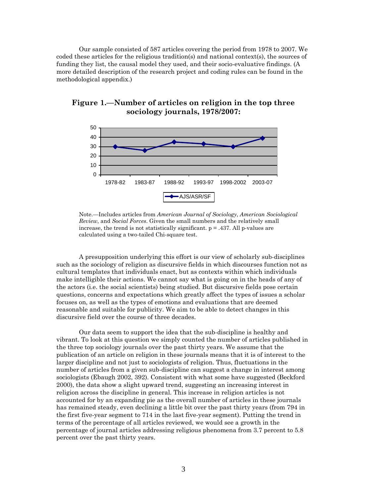Our sample consisted of 587 articles covering the period from 1978 to 2007. We coded these articles for the religious tradition(s) and national context(s), the sources of funding they list, the causal model they used, and their socio-evaluative findings. (A more detailed description of the research project and coding rules can be found in the methodological appendix.)



#### **Figure 1.—Number of articles on religion in the top three sociology journals, 1978/2007:**

Note.—Includes articles from *American Journal of Sociology*, *American Sociological Review*, and *Social Forces*. Given the small numbers and the relatively small increase, the trend is not statistically significant.  $p = .437$ . All p-values are calculated using a two-tailed Chi-square test.

A presupposition underlying this effort is our view of scholarly sub-disciplines such as the sociology of religion as discursive fields in which discourses function not as cultural templates that individuals enact, but as contexts within which individuals make intelligible their actions. We cannot say what is going on in the heads of any of the actors (i.e. the social scientists) being studied. But discursive fields pose certain questions, concerns and expectations which greatly affect the types of issues a scholar focuses on, as well as the types of emotions and evaluations that are deemed reasonable and suitable for publicity. We aim to be able to detect changes in this discursive field over the course of three decades.

Our data seem to support the idea that the sub-discipline is healthy and vibrant. To look at this question we simply counted the number of articles published in the three top sociology journals over the past thirty years. We assume that the publication of an article on religion in these journals means that it is of interest to the larger discipline and not just to sociologists of religion. Thus, fluctuations in the number of articles from a given sub-discipline can suggest a change in interest among sociologists (Ebaugh 2002, 392). Consistent with what some have suggested (Beckford 2000), the data show a slight upward trend, suggesting an increasing interest in religion across the discipline in general. This increase in religion articles is not accounted for by an expanding pie as the overall number of articles in these journals has remained steady, even declining a little bit over the past thirty years (from 794 in the first five-year segment to 714 in the last five-year segment). Putting the trend in terms of the percentage of all articles reviewed, we would see a growth in the percentage of journal articles addressing religious phenomena from 3.7 percent to 5.8 percent over the past thirty years.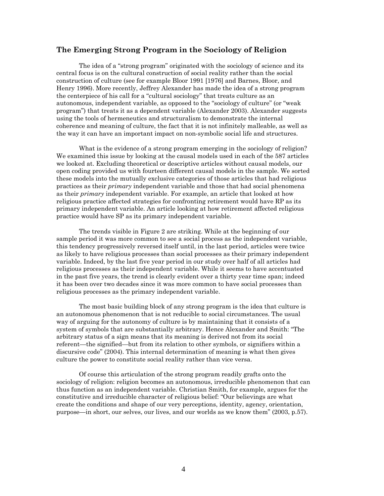#### **The Emerging Strong Program in the Sociology of Religion**

The idea of a "strong program" originated with the sociology of science and its central focus is on the cultural construction of social reality rather than the social construction of culture (see for example Bloor 1991 [1976] and Barnes, Bloor, and Henry 1996). More recently, Jeffrey Alexander has made the idea of a strong program the centerpiece of his call for a "cultural sociology" that treats culture as an autonomous, independent variable, as opposed to the "sociology of culture" (or "weak program") that treats it as a dependent variable (Alexander 2003). Alexander suggests using the tools of hermeneutics and structuralism to demonstrate the internal coherence and meaning of culture, the fact that it is not infinitely malleable, as well as the way it can have an important impact on non-symbolic social life and structures.

What is the evidence of a strong program emerging in the sociology of religion? We examined this issue by looking at the causal models used in each of the 587 articles we looked at. Excluding theoretical or descriptive articles without causal models, our open coding provided us with fourteen different causal models in the sample. We sorted these models into the mutually exclusive categories of those articles that had religious practices as their *primary* independent variable and those that had social phenomena as their *primary* independent variable. For example, an article that looked at how religious practice affected strategies for confronting retirement would have RP as its primary independent variable. An article looking at how retirement affected religious practice would have SP as its primary independent variable.

The trends visible in Figure 2 are striking. While at the beginning of our sample period it was more common to see a social process as the independent variable, this tendency progressively reversed itself until, in the last period, articles were twice as likely to have religious processes than social processes as their primary independent variable. Indeed, by the last five year period in our study over half of all articles had religious processes as their independent variable. While it seems to have accentuated in the past five years, the trend is clearly evident over a thirty year time span; indeed it has been over two decades since it was more common to have social processes than religious processes as the primary independent variable.

The most basic building block of any strong program is the idea that culture is an autonomous phenomenon that is not reducible to social circumstances. The usual way of arguing for the autonomy of culture is by maintaining that it consists of a system of symbols that are substantially arbitrary. Hence Alexander and Smith: "The arbitrary status of a sign means that its meaning is derived not from its social referent—the signified—but from its relation to other symbols, or signifiers within a discursive code" (2004). This internal determination of meaning is what then gives culture the power to constitute social reality rather than vice versa.

Of course this articulation of the strong program readily grafts onto the sociology of religion: religion becomes an autonomous, irreducible phenomenon that can thus function as an independent variable. Christian Smith, for example, argues for the constitutive and irreducible character of religious belief: "Our believings are what create the conditions and shape of our very perceptions, identity, agency, orientation, purpose—in short, our selves, our lives, and our worlds as we know them" (2003, p.57).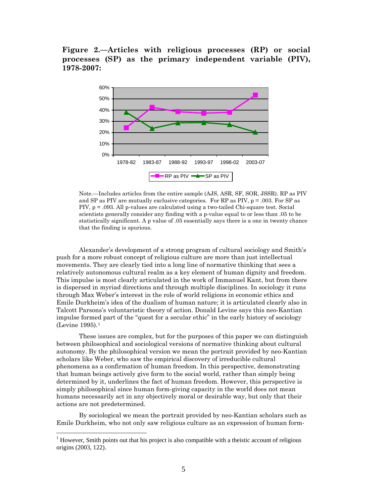**Figure 2.—Articles with religious processes (RP) or social processes (SP) as the primary independent variable (PIV), 1978-2007:** 



Note.—Includes articles from the entire sample (AJS, ASR, SF, SOR, JSSR). RP as PIV and SP as PIV are mutually exclusive categories. For RP as PIV,  $p = .003$ . For SP as PIV, p = .093. All p-values are calculated using a two-tailed Chi-square test. Social scientists generally consider any finding with a p-value equal to or less than .05 to be statistically significant. A p value of .05 essentially says there is a one in twenty chance that the finding is spurious.

Alexander's development of a strong program of cultural sociology and Smith's push for a more robust concept of religious culture are more than just intellectual movements. They are clearly tied into a long line of normative thinking that sees a relatively autonomous cultural realm as a key element of human dignity and freedom. This impulse is most clearly articulated in the work of Immanuel Kant, but from there is dispersed in myriad directions and through multiple disciplines. In sociology it runs through Max Weber's interest in the role of world religions in economic ethics and Emile Durkheim's idea of the dualism of human nature; it is articulated clearly also in Talcott Parsons's voluntaristic theory of action. Donald Levine says this neo-Kantian impulse formed part of the "quest for a secular ethic" in the early history of sociology (Levine 1995).[1](#page-5-0)

These issues are complex, but for the purposes of this paper we can distinguish between philosophical and sociological versions of normative thinking about cultural autonomy. By the philosophical version we mean the portrait provided by neo-Kantian scholars like Weber, who saw the empirical discovery of irreducible cultural phenomena as a confirmation of human freedom. In this perspective, demonstrating that human beings actively give form to the social world, rather than simply being determined by it, underlines the fact of human freedom. However, this perspective is simply philosophical since human form-giving capacity in the world does not mean humans necessarily act in any objectively moral or desirable way, but only that their actions are not predetermined.

By sociological we mean the portrait provided by neo-Kantian scholars such as Emile Durkheim, who not only saw religious culture as an expression of human form-

<span id="page-5-0"></span><sup>&</sup>lt;sup>1</sup> However, Smith points out that his project is also compatible with a theistic account of religious origins (2003, 122).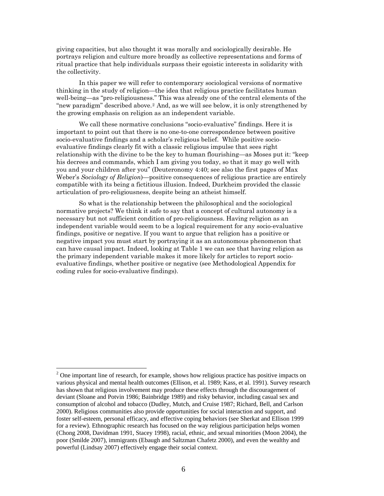giving capacities, but also thought it was morally and sociologically desirable. He portrays religion and culture more broadly as collective representations and forms of ritual practice that help individuals surpass their egoistic interests in solidarity with the collectivity.

In this paper we will refer to contemporary sociological versions of normative thinking in the study of religion—the idea that religious practice facilitates human well-being—as "pro-religiousness." This was already one of the central elements of the "new paradigm" described above.[2](#page-6-0) And, as we will see below, it is only strengthened by the growing emphasis on religion as an independent variable.

We call these normative conclusions "socio-evaluative" findings. Here it is important to point out that there is no one-to-one correspondence between positive socio-evaluative findings and a scholar's religious belief. While positive socioevaluative findings clearly fit with a classic religious impulse that sees right relationship with the divine to be the key to human flourishing—as Moses put it: "keep his decrees and commands, which I am giving you today, so that it may go well with you and your children after you" (Deuteronomy 4:40; see also the first pages of Max Weber's *Sociology of Religion*)—positive consequences of religious practice are entirely compatible with its being a fictitious illusion. Indeed, Durkheim provided the classic articulation of pro-religiousness, despite being an atheist himself.

So what is the relationship between the philosophical and the sociological normative projects? We think it safe to say that a concept of cultural autonomy is a necessary but not sufficient condition of pro-religiousness. Having religion as an independent variable would seem to be a logical requirement for any socio-evaluative findings, positive or negative. If you want to argue that religion has a positive or negative impact you must start by portraying it as an autonomous phenomenon that can have causal impact. Indeed, looking at Table 1 we can see that having religion as the primary independent variable makes it more likely for articles to report socioevaluative findings, whether positive or negative (see Methodological Appendix for coding rules for socio-evaluative findings).

<span id="page-6-0"></span> $2^2$  One important line of research, for example, shows how religious practice has positive impacts on various physical and mental health outcomes (Ellison, et al. 1989; Kass, et al. 1991). Survey research has shown that religious involvement may produce these effects through the discouragement of deviant (Sloane and Potvin 1986; Bainbridge 1989) and risky behavior, including casual sex and consumption of alcohol and tobacco (Dudley, Mutch, and Cruise 1987; Richard, Bell, and Carlson 2000). Religious communities also provide opportunities for social interaction and support, and foster self-esteem, personal efficacy, and effective coping behaviors (see Sherkat and Ellison 1999 for a review). Ethnographic research has focused on the way religious participation helps women (Chong 2008, Davidman 1991, Stacey 1998), racial, ethnic, and sexual minorities (Moon 2004), the poor (Smilde 2007), immigrants (Ebaugh and Saltzman Chafetz 2000), and even the wealthy and powerful (Lindsay 2007) effectively engage their social context.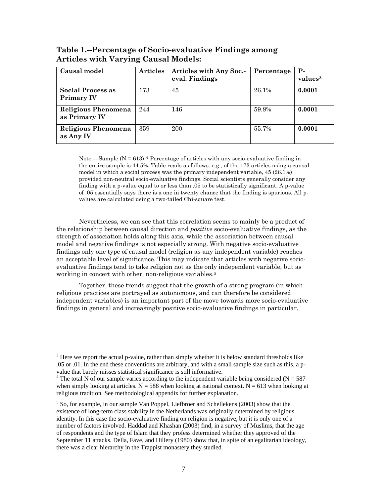| Causal model                                | <b>Articles</b> | Articles with Any Soc.-<br>eval. Findings | Percentage | $P-$<br>values <sup>3</sup> |
|---------------------------------------------|-----------------|-------------------------------------------|------------|-----------------------------|
| Social Process as<br><b>Primary IV</b>      | 173             | 45                                        | 26.1%      | 0.0001                      |
| <b>Religious Phenomena</b><br>as Primary IV | 244             | 146                                       | 59.8%      | 0.0001                      |
| <b>Religious Phenomena</b><br>as Any IV     | 359             | 200                                       | 55.7%      | 0.0001                      |

**Table 1.--Percentage of Socio-evaluative Findings among Articles with Varying Causal Models:** 

Note.—Sample  $(N = 613)$ .<sup>[4](#page-7-0)</sup> Percentage of articles with any socio-evaluative finding in the entire sample is 44.5%. Table reads as follows: e.g., of the 173 articles using a causal model in which a social process was the primary independent variable, 45 (26.1%) provided non-neutral socio-evaluative findings. Social scientists generally consider any finding with a p-value equal to or less than .05 to be statistically significant. A p-value of .05 essentially says there is a one in twenty chance that the finding is spurious. All pvalues are calculated using a two-tailed Chi-square test.

Nevertheless, we can see that this correlation seems to mainly be a product of the relationship between causal direction and *positive* socio-evaluative findings, as the strength of association holds along this axis, while the association between causal model and negative findings is not especially strong. With negative socio-evaluative findings only one type of causal model (religion as any independent variable) reaches an acceptable level of significance. This may indicate that articles with negative socioevaluative findings tend to take religion not as the only independent variable, but as working in concert with other, non-religious variables.<sup>[5](#page-7-1)</sup>

Together, these trends suggest that the growth of a strong program (in which religious practices are portrayed as autonomous, and can therefore be considered independent variables) is an important part of the move towards more socio-evaluative findings in general and increasingly positive socio-evaluative findings in particular.

 $3$  Here we report the actual p-value, rather than simply whether it is below standard thresholds like .05 or .01. In the end these conventions are arbitrary, and with a small sample size such as this, a pvalue that barely misses statistical significance is still informative. 4

<span id="page-7-0"></span><sup>&</sup>lt;sup>4</sup> The total N of our sample varies according to the independent variable being considered (N = 587) when simply looking at articles.  $N = 588$  when looking at national context.  $N = 613$  when looking at religious tradition. See methodological appendix for further explanation.

<span id="page-7-1"></span> $<sup>5</sup>$  So, for example, in our sample Van Poppel, Liefbroer and Schellekens (2003) show that the</sup> existence of long-term class stability in the Netherlands was originally determined by religious identity. In this case the socio-evaluative finding on religion is negative, but it is only one of a number of factors involved. Haddad and Khashan (2003) find, in a survey of Muslims, that the age of respondents and the type of Islam that they profess determined whether they approved of the September 11 attacks. Della, Fave, and Hillery (1980) show that, in spite of an egalitarian ideology, there was a clear hierarchy in the Trappist monastery they studied.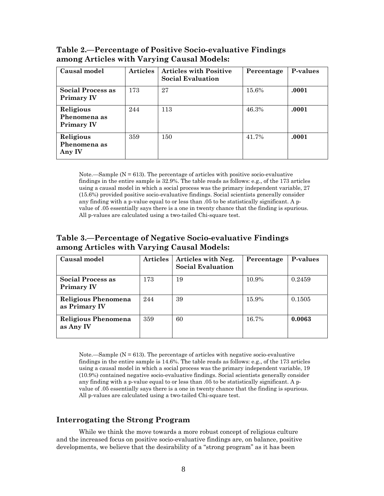| Causal model                                   | <b>Articles</b> | <b>Articles with Positive</b><br><b>Social Evaluation</b> | Percentage | P-values |
|------------------------------------------------|-----------------|-----------------------------------------------------------|------------|----------|
| <b>Social Process as</b><br><b>Primary IV</b>  | 173             | 27                                                        | 15.6%      | .0001    |
| Religious<br>Phenomena as<br><b>Primary IV</b> | 244             | 113                                                       | 46.3%      | .0001    |
| Religious<br>Phenomena as<br>Any IV            | 359             | 150                                                       | 41.7%      | .0001    |

**Table 2.—Percentage of Positive Socio-evaluative Findings among Articles with Varying Causal Models:** 

Note.—Sample ( $N = 613$ ). The percentage of articles with positive socio-evaluative findings in the entire sample is 32.9%. The table reads as follows: e.g., of the 173 articles using a causal model in which a social process was the primary independent variable, 27 (15.6%) provided positive socio-evaluative findings. Social scientists generally consider any finding with a p-value equal to or less than .05 to be statistically significant. A pvalue of .05 essentially says there is a one in twenty chance that the finding is spurious. All p-values are calculated using a two-tailed Chi-square test.

#### **Table 3.—Percentage of Negative Socio-evaluative Findings among Articles with Varying Causal Models:**

| Causal model                           | <b>Articles</b> | Articles with Neg.<br><b>Social Evaluation</b> | Percentage | P-values |
|----------------------------------------|-----------------|------------------------------------------------|------------|----------|
| Social Process as<br><b>Primary IV</b> | 173             | 19                                             | 10.9%      | 0.2459   |
| Religious Phenomena<br>as Primary IV   | 244             | 39                                             | 15.9%      | 0.1505   |
| Religious Phenomena<br>as Any IV       | 359             | 60                                             | 16.7%      | 0.0063   |

Note.—Sample ( $N = 613$ ). The percentage of articles with negative socio-evaluative findings in the entire sample is 14.6%. The table reads as follows: e.g., of the 173 articles using a causal model in which a social process was the primary independent variable, 19 (10.9%) contained negative socio-evaluative findings. Social scientists generally consider any finding with a p-value equal to or less than .05 to be statistically significant. A pvalue of .05 essentially says there is a one in twenty chance that the finding is spurious. All p-values are calculated using a two-tailed Chi-square test.

#### **Interrogating the Strong Program**

While we think the move towards a more robust concept of religious culture and the increased focus on positive socio-evaluative findings are, on balance, positive developments, we believe that the desirability of a "strong program" as it has been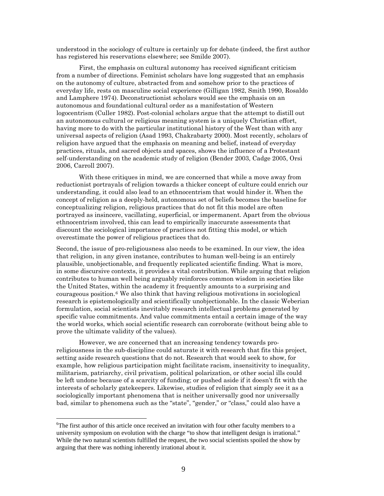understood in the sociology of culture is certainly up for debate (indeed, the first author has registered his reservations elsewhere; see Smilde 2007).

First, the emphasis on cultural autonomy has received significant criticism from a number of directions. Feminist scholars have long suggested that an emphasis on the autonomy of culture, abstracted from and somehow prior to the practices of everyday life, rests on masculine social experience (Gilligan 1982, Smith 1990, Rosaldo and Lamphere 1974). Deconstructionist scholars would see the emphasis on an autonomous and foundational cultural order as a manifestation of Western logocentrism (Culler 1982). Post-colonial scholars argue that the attempt to distill out an autonomous cultural or religious meaning system is a uniquely Christian effort, having more to do with the particular institutional history of the West than with any universal aspects of religion (Asad 1993, Chakrabarty 2000). Most recently, scholars of religion have argued that the emphasis on meaning and belief, instead of everyday practices, rituals, and sacred objects and spaces, shows the influence of a Protestant self-understanding on the academic study of religion (Bender 2003, Cadge 2005, Orsi 2006, Carroll 2007).

With these critiques in mind, we are concerned that while a move away from reductionist portrayals of religion towards a thicker concept of culture could enrich our understanding, it could also lead to an ethnocentrism that would hinder it. When the concept of religion as a deeply-held, autonomous set of beliefs becomes the baseline for conceptualizing religion, religious practices that do not fit this model are often portrayed as insincere, vacillating, superficial, or impermanent. Apart from the obvious ethnocentrism involved, this can lead to empirically inaccurate assessments that discount the sociological importance of practices not fitting this model, or which overestimate the power of religious practices that do.

Second, the issue of pro-religiousness also needs to be examined. In our view, the idea that religion, in any given instance, contributes to human well-being is an entirely plausible, unobjectionable, and frequently replicated scientific finding. What is more, in some discursive contexts, it provides a vital contribution. While arguing that religion contributes to human well being arguably reinforces common wisdom in societies like the United States, within the academy it frequently amounts to a surprising and courageous position.[6](#page-9-0) We also think that having religious motivations in sociological research is epistemologically and scientifically unobjectionable. In the classic Weberian formulation, social scientists inevitably research intellectual problems generated by specific value commitments. And value commitments entail a certain image of the way the world works, which social scientific research can corroborate (without being able to prove the ultimate validity of the values).

However, we are concerned that an increasing tendency towards proreligiousness in the sub-discipline could saturate it with research that fits this project, setting aside research questions that do not. Research that would seek to show, for example, how religious participation might facilitate racism, insensitivity to inequality, militarism, patriarchy, civil privatism, political polarization, or other social ills could be left undone because of a scarcity of funding; or pushed aside if it doesn't fit with the interests of scholarly gatekeepers. Likewise, studies of religion that simply see it as a sociologically important phenomena that is neither universally good nor universally bad, similar to phenomena such as the "state", "gender," or "class," could also have a

<span id="page-9-0"></span><sup>&</sup>lt;sup>6</sup>The first author of this article once received an invitation with four other faculty members to a university symposium on evolution with the charge "to show that intelligent design is irrational." While the two natural scientists fulfilled the request, the two social scientists spoiled the show by arguing that there was nothing inherently irrational about it.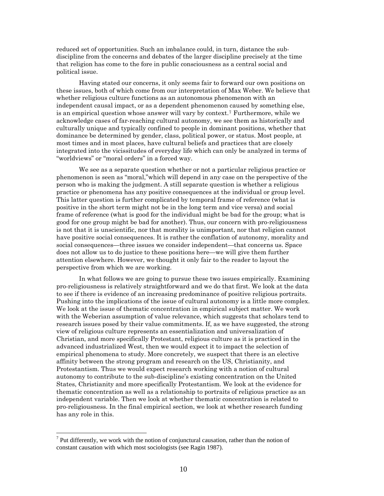reduced set of opportunities. Such an imbalance could, in turn, distance the subdiscipline from the concerns and debates of the larger discipline precisely at the time that religion has come to the fore in public consciousness as a central social and political issue.

Having stated our concerns, it only seems fair to forward our own positions on these issues, both of which come from our interpretation of Max Weber. We believe that whether religious culture functions as an autonomous phenomenon with an independent causal impact, or as a dependent phenomenon caused by something else, is an empirical question whose answer will vary by context.<sup>[7](#page-10-0)</sup> Furthermore, while we acknowledge cases of far-reaching cultural autonomy, we see them as historically and culturally unique and typically confined to people in dominant positions, whether that dominance be determined by gender, class, political power, or status. Most people, at most times and in most places, have cultural beliefs and practices that are closely integrated into the vicissitudes of everyday life which can only be analyzed in terms of "worldviews" or "moral orders" in a forced way.

We see as a separate question whether or not a particular religious practice or phenomenon is seen as "moral,"which will depend in any case on the perspective of the person who is making the judgment. A still separate question is whether a religious practice or phenomena has any positive consequences at the individual or group level. This latter question is further complicated by temporal frame of reference (what is positive in the short term might not be in the long term and vice versa) and social frame of reference (what is good for the individual might be bad for the group; what is good for one group might be bad for another). Thus, our concern with pro-religiousness is not that it is unscientific, nor that morality is unimportant, nor that religion cannot have positive social consequences. It is rather the conflation of autonomy, morality and social consequences—three issues we consider independent—that concerns us. Space does not allow us to do justice to these positions here—we will give them further attention elsewhere. However, we thought it only fair to the reader to layout the perspective from which we are working.

In what follows we are going to pursue these two issues empirically. Examining pro-religiousness is relatively straightforward and we do that first. We look at the data to see if there is evidence of an increasing predominance of positive religious portraits. Pushing into the implications of the issue of cultural autonomy is a little more complex. We look at the issue of thematic concentration in empirical subject matter. We work with the Weberian assumption of value relevance, which suggests that scholars tend to research issues posed by their value commitments. If, as we have suggested, the strong view of religious culture represents an essentialization and universalization of Christian, and more specifically Protestant, religious culture as it is practiced in the advanced industrialized West, then we would expect it to impact the selection of empirical phenomena to study. More concretely, we suspect that there is an elective affinity between the strong program and research on the US, Christianity, and Protestantism. Thus we would expect research working with a notion of cultural autonomy to contribute to the sub-discipline's existing concentration on the United States, Christianity and more specifically Protestantism. We look at the evidence for thematic concentration as well as a relationship to portraits of religious practice as an independent variable. Then we look at whether thematic concentration is related to pro-religiousness. In the final empirical section, we look at whether research funding has any role in this.

<span id="page-10-0"></span><sup>&</sup>lt;sup>7</sup> Put differently, we work with the notion of conjunctural causation, rather than the notion of constant causation with which most sociologists (see Ragin 1987).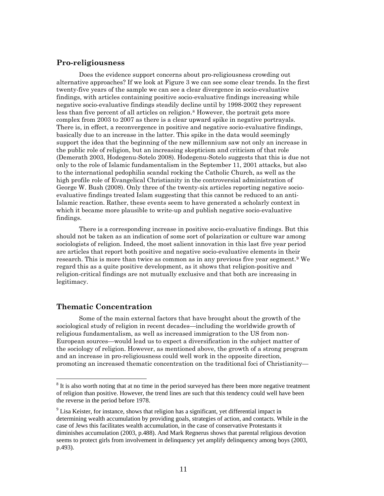#### **Pro-religiousness**

Does the evidence support concerns about pro-religiousness crowding out alternative approaches? If we look at Figure 3 we can see some clear trends. In the first twenty-five years of the sample we can see a clear divergence in socio-evaluative findings, with articles containing positive socio-evaluative findings increasing while negative socio-evaluative findings steadily decline until by 1998-2002 they represent less than five percent of all articles on religion.<sup>[8](#page-11-0)</sup> However, the portrait gets more complex from 2003 to 2007 as there is a clear upward spike in negative portrayals. There is, in effect, a reconvergence in positive and negative socio-evaluative findings, basically due to an increase in the latter. This spike in the data would seemingly support the idea that the beginning of the new millennium saw not only an increase in the public role of religion, but an increasing skepticism and criticism of that role (Demerath 2003, Hodegenu-Sotelo 2008). Hodegenu-Sotelo suggests that this is due not only to the role of Islamic fundamentalism in the September 11, 2001 attacks, but also to the international pedophilia scandal rocking the Catholic Church, as well as the high profile role of Evangelical Christianity in the controversial administration of George W. Bush (2008). Only three of the twenty-six articles reporting negative socioevaluative findings treated Islam suggesting that this cannot be reduced to an anti-Islamic reaction. Rather, these events seem to have generated a scholarly context in which it became more plausible to write-up and publish negative socio-evaluative findings.

There is a corresponding increase in positive socio-evaluative findings. But this should not be taken as an indication of some sort of polarization or culture war among sociologists of religion. Indeed, the most salient innovation in this last five year period are articles that report both positive and negative socio-evaluative elements in their research. This is more than twice as common as in any previous five year segment.[9](#page-11-1) We regard this as a quite positive development, as it shows that religion-positive and religion-critical findings are not mutually exclusive and that both are increasing in legitimacy.

#### **Thematic Concentration**

 $\overline{a}$ 

Some of the main external factors that have brought about the growth of the sociological study of religion in recent decades—including the worldwide growth of religious fundamentalism, as well as increased immigration to the US from non-European sources—would lead us to expect a diversification in the subject matter of the sociology of religion. However, as mentioned above, the growth of a strong program and an increase in pro-religiousness could well work in the opposite direction, promoting an increased thematic concentration on the traditional foci of Christianity—

<span id="page-11-0"></span> $8$  It is also worth noting that at no time in the period surveyed has there been more negative treatment of religion than positive. However, the trend lines are such that this tendency could well have been the reverse in the period before 1978.

<span id="page-11-1"></span><sup>&</sup>lt;sup>9</sup> Lisa Keister, for instance, shows that religion has a significant, yet differential impact in determining wealth accumulation by providing goals, strategies of action, and contacts. While in the case of Jews this facilitates wealth accumulation, in the case of conservative Protestants it diminishes accumulation (2003, p.488). And Mark Regnerus shows that parental religious devotion seems to protect girls from involvement in delinquency yet amplify delinquency among boys (2003, p.493).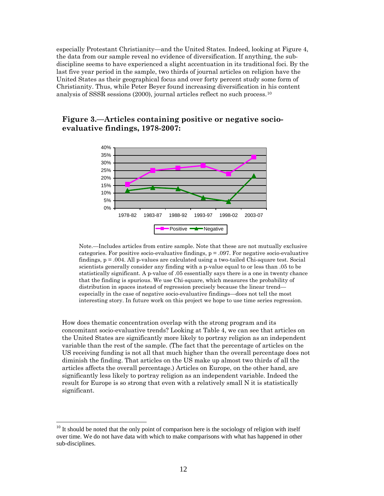especially Protestant Christianity—and the United States. Indeed, looking at Figure 4, the data from our sample reveal no evidence of diversification. If anything, the subdiscipline seems to have experienced a slight accentuation in its traditional foci. By the last five year period in the sample, two thirds of journal articles on religion have the United States as their geographical focus and over forty percent study some form of Christianity. Thus, while Peter Beyer found increasing diversification in his content analysis of SSSR sessions (2000), journal articles reflect no such process.[10](#page-12-0)

#### **Figure 3.—Articles containing positive or negative socioevaluative findings, 1978-2007:**



Note.—Includes articles from entire sample. Note that these are not mutually exclusive categories. For positive socio-evaluative findings,  $p = 0.097$ . For negative socio-evaluative findings,  $p = .004$ . All p-values are calculated using a two-tailed Chi-square test. Social scientists generally consider any finding with a p-value equal to or less than .05 to be statistically significant. A p-value of .05 essentially says there is a one in twenty chance that the finding is spurious. We use Chi-square, which measures the probability of distribution in spaces instead of regression precisely because the linear trend especially in the case of negative socio-evaluative findings—does not tell the most interesting story. In future work on this project we hope to use time series regression.

How does thematic concentration overlap with the strong program and its concomitant socio-evaluative trends? Looking at Table 4, we can see that articles on the United States are significantly more likely to portray religion as an independent variable than the rest of the sample. (The fact that the percentage of articles on the US receiving funding is not all that much higher than the overall percentage does not diminish the finding. That articles on the US make up almost two thirds of all the articles affects the overall percentage.) Articles on Europe, on the other hand, are significantly less likely to portray religion as an independent variable. Indeed the result for Europe is so strong that even with a relatively small N it is statistically significant.

1

<span id="page-12-0"></span><sup>&</sup>lt;sup>10</sup> It should be noted that the only point of comparison here is the sociology of religion with itself over time. We do not have data with which to make comparisons with what has happened in other sub-disciplines.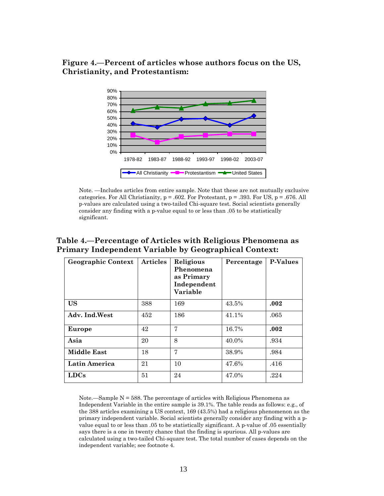#### **Figure 4.—Percent of articles whose authors focus on the US, Christianity, and Protestantism:**



Note. —Includes articles from entire sample. Note that these are not mutually exclusive categories. For All Christianity,  $p = .602$ . For Protestant,  $p = .393$ . For US,  $p = .676$ . All p-values are calculated using a two-tailed Chi-square test. Social scientists generally consider any finding with a p-value equal to or less than .05 to be statistically significant.

| <b>Geographic Context</b> | <b>Articles</b> | Religious<br>Phenomena<br>as Primary<br>Independent<br>Variable | Percentage | <b>P-Values</b> |
|---------------------------|-----------------|-----------------------------------------------------------------|------------|-----------------|
| <b>US</b>                 | 388             | 169                                                             | 43.5%      | .002            |
| Adv. Ind.West             | 452             | 186                                                             | 41.1%      | .065            |
| Europe                    | 42              | 7                                                               | 16.7%      | .002            |
| Asia                      | 20              | 8                                                               | 40.0%      | .934            |
| <b>Middle East</b>        | 18              | 7                                                               | 38.9%      | .984            |
| Latin America             | 21              | 10                                                              | 47.6%      | .416            |
| <b>LDCs</b>               | 51              | 24                                                              | 47.0%      | .224            |

#### **Table 4.—Percentage of Articles with Religious Phenomena as Primary Independent Variable by Geographical Context:**

Note.—Sample  $N = 588$ . The percentage of articles with Religious Phenomena as Independent Variable in the entire sample is 39.1%. The table reads as follows: e.g., of the 388 articles examining a US context, 169 (43.5%) had a religious phenomenon as the primary independent variable. Social scientists generally consider any finding with a pvalue equal to or less than .05 to be statistically significant. A p-value of .05 essentially says there is a one in twenty chance that the finding is spurious. All p-values are calculated using a two-tailed Chi-square test. The total number of cases depends on the independent variable; see footnote 4.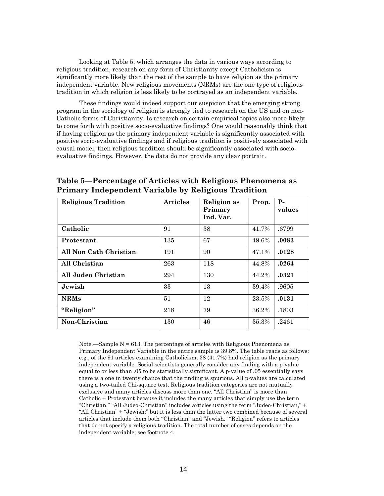Looking at Table 5, which arranges the data in various ways according to religious tradition, research on any form of Christianity except Catholicism is significantly more likely than the rest of the sample to have religion as the primary independent variable. New religious movements (NRMs) are the one type of religious tradition in which religion is less likely to be portrayed as an independent variable.

These findings would indeed support our suspicion that the emerging strong program in the sociology of religion is strongly tied to research on the US and on non-Catholic forms of Christianity. Is research on certain empirical topics also more likely to come forth with positive socio-evaluative findings? One would reasonably think that if having religion as the primary independent variable is significantly associated with positive socio-evaluative findings and if religious tradition is positively associated with causal model, then religious tradition should be significantly associated with socioevaluative findings. However, the data do not provide any clear portrait.

| <b>Religious Tradition</b> | <b>Articles</b> | <b>Religion</b> as<br>Primary<br>Ind. Var. | Prop. | $P-$<br>values |
|----------------------------|-----------------|--------------------------------------------|-------|----------------|
| Catholic                   | 91              | 38                                         | 41.7% | .6799          |
| Protestant                 | 135             | 67                                         | 49.6% | .0083          |
| All Non Cath Christian     | 191             | 90                                         | 47.1% | .0128          |
| All Christian              | 263             | 118                                        | 44.8% | .0264          |
| All Judeo Christian        | 294             | 130                                        | 44.2% | .0321          |
| Jewish                     | 33              | 13                                         | 39.4% | .9605          |
| <b>NRMs</b>                | 51              | 12                                         | 23.5% | .0131          |
| "Religion"                 | 218             | 79                                         | 36.2% | .1803          |
| Non-Christian              | 130             | 46                                         | 35.3% | .2461          |

**Table 5—Percentage of Articles with Religious Phenomena as Primary Independent Variable by Religious Tradition**

Note.—Sample  $N = 613$ . The percentage of articles with Religious Phenomena as Primary Independent Variable in the entire sample is 39.8%. The table reads as follows: e.g., of the 91 articles examining Catholicism, 38 (41.7%) had religion as the primary independent variable. Social scientists generally consider any finding with a p-value equal to or less than .05 to be statistically significant. A p-value of .05 essentially says there is a one in twenty chance that the finding is spurious. All p-values are calculated using a two-tailed Chi-square test. Religious tradition categories are not mutually exclusive and many articles discuss more than one. "All Christian" is more than Catholic + Protestant because it includes the many articles that simply use the term "Christian." "All Judeo-Christian" includes articles using the term "Judeo-Christian," + "All Christian" + "Jewish;" but it is less than the latter two combined because of several articles that include them both "Christian" and "Jewish." "Religion" refers to articles that do not specify a religious tradition. The total number of cases depends on the independent variable; see footnote 4.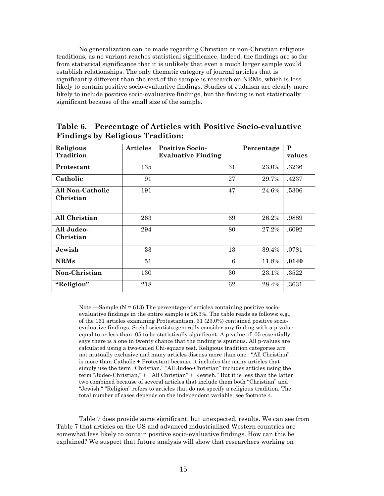No generalization can be made regarding Christian or non-Christian religious traditions, as no variant reaches statistical significance. Indeed, the findings are so far from statistical significance that it is unlikely that even a much larger sample would establish relationships. The only thematic category of journal articles that is significantly different than the rest of the sample is research on NRMs, which is less likely to contain positive socio-evaluative findings. Studies of Judaism are clearly more likely to include positive socio-evaluative findings, but the finding is not statistically significant because of the small size of the sample.

| Religious                     | <b>Articles</b> | <b>Positive Socio-</b>    | Percentage | P      |
|-------------------------------|-----------------|---------------------------|------------|--------|
| Tradition                     |                 | <b>Evaluative Finding</b> |            | values |
| Protestant                    | 135             | 31                        | 23.0%      | .3236  |
| Catholic                      | 91              | 27                        | 29.7%      | .4237  |
| All Non-Catholic<br>Christian | 191             | 47                        | 24.6%      | .5306  |
| All Christian                 | 263             | 69                        | 26.2%      | .9889  |
| All Judeo-<br>Christian       | 294             | 80                        | 27.2%      | .6092  |
| Jewish                        | 33              | 13                        | 39.4%      | .0781  |
| <b>NRMs</b>                   | 51              | 6                         | 11.8%      | .0140  |
| Non-Christian                 | 130             | 30                        | 23.1%      | .3522  |
| "Religion"                    | 218             | 62                        | 28.4%      | .3631  |

**Table 6.—Percentage of Articles with Positive Socio-evaluative Findings by Religious Tradition:** 

Note.—Sample  $(N = 613)$  The percentage of articles containing positive socioevaluative findings in the entire sample is 26.3%. The table reads as follows: e.g., of the 161 articles examining Protestantism, 31 (23.0%) contained positive socioevaluative findings. Social scientists generally consider any finding with a p-value equal to or less than .05 to be statistically significant. A p-value of .05 essentially says there is a one in twenty chance that the finding is spurious. All p-values are calculated using a two-tailed Chi-square test. Religious tradition categories are not mutually exclusive and many articles discuss more than one. "All Christian" is more than Catholic + Protestant because it includes the many articles that simply use the term "Christian." "All Judeo-Christian" includes articles using the term "Judeo-Christian," + "All Christian" + "Jewish." But it is less than the latter two combined because of several articles that include them both "Christian" and "Jewish." "Religion" refers to articles that do not specify a religious tradition. The total number of cases depends on the independent variable; see footnote 4.

Table 7 does provide some significant, but unexpected, results. We can see from Table 7 that articles on the US and advanced industrialized Western countries are somewhat less likely to contain positive socio-evaluative findings. How can this be explained? We suspect that future analysis will show that researchers working on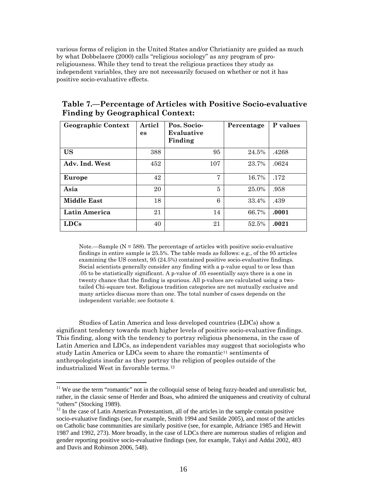various forms of religion in the United States and/or Christianity are guided as much by what Dobbelaere (2000) calls "religious sociology" as any program of proreligiousness. While they tend to treat the religious practices they study as independent variables, they are not necessarily focused on whether or not it has positive socio-evaluative effects.

| Table 7.—Percentage of Articles with Positive Socio-evaluative |
|----------------------------------------------------------------|
| <b>Finding by Geographical Context:</b>                        |

| <b>Geographic Context</b> | Articl<br>es | Pos. Socio-<br>Evaluative<br>Finding | Percentage | P values |
|---------------------------|--------------|--------------------------------------|------------|----------|
| <b>US</b>                 | 388          | 95                                   | 24.5%      | .4268    |
| Adv. Ind. West            | 452          | 107                                  | 23.7%      | .0624    |
| Europe                    | 42           | 7                                    | 16.7%      | .172     |
| Asia                      | 20           | 5                                    | 25.0%      | .958     |
| <b>Middle East</b>        | 18           | 6                                    | 33.4%      | .439     |
| Latin America             | 21           | 14                                   | 66.7%      | .0001    |
| <b>LDCs</b>               | 40           | 21                                   | 52.5%      | .0021    |

Note.—Sample  $(N = 588)$ . The percentage of articles with positive socio-evaluative findings in entire sample is 25.5%. The table reads as follows: e.g., of the 95 articles examining the US context, 95 (24.5%) contained positive socio-evaluative findings. Social scientists generally consider any finding with a p-value equal to or less than .05 to be statistically significant. A p-value of .05 essentially says there is a one in twenty chance that the finding is spurious. All p-values are calculated using a twotailed Chi-square test. Religious tradition categories are not mutually exclusive and many articles discuss more than one. The total number of cases depends on the independent variable; see footnote 4.

Studies of Latin America and less developed countries (LDCs) show a significant tendency towards much higher levels of positive socio-evaluative findings. This finding, along with the tendency to portray religious phenomena, in the case of Latin America and LDCs, as independent variables may suggest that sociologists who study Latin America or LDCs seem to share the romantic<sup>[11](#page-16-0)</sup> sentiments of anthropologists insofar as they portray the religion of peoples outside of the industrialized West in favorable terms.[12](#page-16-1)

<span id="page-16-0"></span> $11$  We use the term "romantic" not in the colloquial sense of being fuzzy-headed and unrealistic but, rather, in the classic sense of Herder and Boas, who admired the uniqueness and creativity of cultural "others" (Stocking 1989).

<span id="page-16-1"></span> $12$  In the case of Latin American Protestantism, all of the articles in the sample contain positive socio-evaluative findings (see, for example, Smith 1994 and Smilde 2005), and most of the articles on Catholic base communities are similarly positive (see, for example, Adriance 1985 and Hewitt 1987 and 1992, 273). More broadly, in the case of LDCs there are numerous studies of religion and gender reporting positive socio-evaluative findings (see, for example, Takyi and Addai 2002, 483 and Davis and Robinson 2006, 548).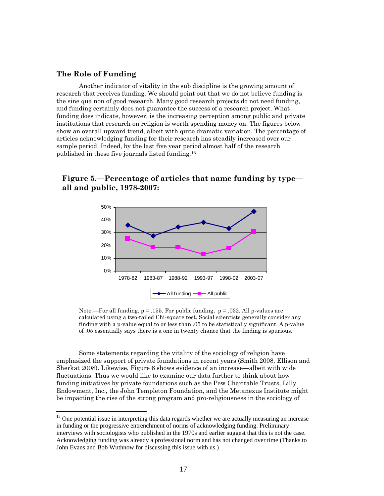#### **The Role of Funding**

 $\overline{a}$ 

Another indicator of vitality in the sub discipline is the growing amount of research that receives funding. We should point out that we do not believe funding is the sine qua non of good research. Many good research projects do not need funding, and funding certainly does not guarantee the success of a research project. What funding does indicate, however, is the increasing perception among public and private institutions that research on religion is worth spending money on. The figures below show an overall upward trend, albeit with quite dramatic variation. The percentage of articles acknowledging funding for their research has steadily increased over our sample period. Indeed, by the last five year period almost half of the research published in these five journals listed funding.[13](#page-17-0)



**Figure 5.—Percentage of articles that name funding by type all and public, 1978-2007:** 

Note.—For all funding,  $p = 0.155$ . For public funding,  $p = 0.032$ . All p-values are calculated using a two-tailed Chi-square test. Social scientists generally consider any finding with a p-value equal to or less than .05 to be statistically significant. A p-value of .05 essentially says there is a one in twenty chance that the finding is spurious.

Some statements regarding the vitality of the sociology of religion have emphasized the support of private foundations in recent years (Smith 2008, Ellison and Sherkat 2008). Likewise, Figure 6 shows evidence of an increase—albeit with wide fluctuations. Thus we would like to examine our data further to think about how funding initiatives by private foundations such as the Pew Charitable Trusts, Lilly Endowment, Inc., the John Templeton Foundation, and the Metanexus Institute might be impacting the rise of the strong program and pro-religiousness in the sociology of

<span id="page-17-0"></span><sup>&</sup>lt;sup>13</sup> One potential issue in interpreting this data regards whether we are actually measuring an increase in funding or the progressive entrenchment of norms of acknowledging funding. Preliminary interviews with sociologists who published in the 1970s and earlier suggest that this is not the case. Acknowledging funding was already a professional norm and has not changed over time (Thanks to John Evans and Bob Wuthnow for discussing this issue with us.)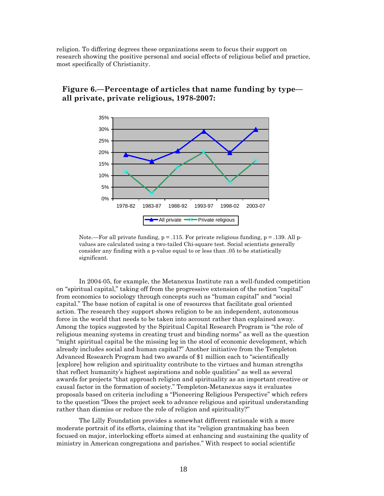religion. To differing degrees these organizations seem to focus their support on research showing the positive personal and social effects of religious belief and practice, most specifically of Christianity.



#### **Figure 6.—Percentage of articles that name funding by type all private, private religious, 1978-2007:**

Note.—For all private funding,  $p = 0.115$ . For private religious funding,  $p = 0.139$ . All pvalues are calculated using a two-tailed Chi-square test. Social scientists generally consider any finding with a p-value equal to or less than .05 to be statistically significant.

In 2004-05, for example, the Metanexus Institute ran a well-funded competition on "spiritual capital," taking off from the progressive extension of the notion "capital" from economics to sociology through concepts such as "human capital" and "social capital." The base notion of capital is one of resources that facilitate goal oriented action. The research they support shows religion to be an independent, autonomous force in the world that needs to be taken into account rather than explained away. Among the topics suggested by the Spiritual Capital Research Program is "the role of religious meaning systems in creating trust and binding norms" as well as the question "might spiritual capital be the missing leg in the stool of economic development, which already includes social and human capital?" Another initiative from the Templeton Advanced Research Program had two awards of \$1 million each to "scientifically [explore] how religion and spirituality contribute to the virtues and human strengths that reflect humanity's highest aspirations and noble qualities" as well as several awards for projects "that approach religion and spirituality as an important creative or causal factor in the formation of society." Templeton-Metanexus says it evaluates proposals based on criteria including a "Pioneering Religious Perspective" which refers to the question "Does the project seek to advance religious and spiritual understanding rather than dismiss or reduce the role of religion and spirituality?"

The Lilly Foundation provides a somewhat different rationale with a more moderate portrait of its efforts, claiming that its "religion grantmaking has been focused on major, interlocking efforts aimed at enhancing and sustaining the quality of ministry in American congregations and parishes." With respect to social scientific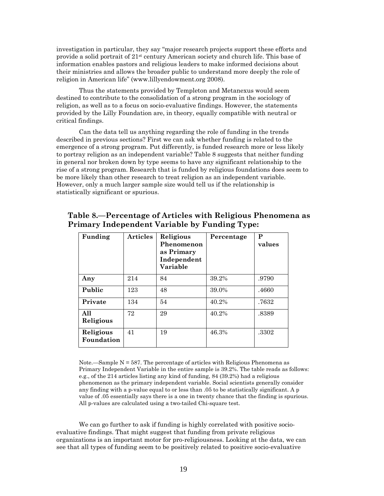investigation in particular, they say "major research projects support these efforts and provide a solid portrait of  $21<sup>st</sup>$  century American society and church life. This base of information enables pastors and religious leaders to make informed decisions about their ministries and allows the broader public to understand more deeply the role of religion in American life" (www.lillyendowment.org 2008).

Thus the statements provided by Templeton and Metanexus would seem destined to contribute to the consolidation of a strong program in the sociology of religion, as well as to a focus on socio-evaluative findings. However, the statements provided by the Lilly Foundation are, in theory, equally compatible with neutral or critical findings.

Can the data tell us anything regarding the role of funding in the trends described in previous sections? First we can ask whether funding is related to the emergence of a strong program. Put differently, is funded research more or less likely to portray religion as an independent variable? Table 8 suggests that neither funding in general nor broken down by type seems to have any significant relationship to the rise of a strong program. Research that is funded by religious foundations does seem to be more likely than other research to treat religion as an independent variable. However, only a much larger sample size would tell us if the relationship is statistically significant or spurious.

| Funding                 | <b>Articles</b> | Religious<br>Phenomenon<br>as Primary<br>Independent<br>Variable | Percentage | P<br>values |
|-------------------------|-----------------|------------------------------------------------------------------|------------|-------------|
| Any                     | 214             | 84                                                               | 39.2%      | .9790       |
| Public                  | 123             | 48                                                               | 39.0%      | .4660       |
| Private                 | 134             | 54                                                               | 40.2%      | .7632       |
| All<br>Religious        | 72              | 29                                                               | 40.2%      | .8389       |
| Religious<br>Foundation | 41              | 19                                                               | 46.3%      | .3302       |

#### **Table 8.—Percentage of Articles with Religious Phenomena as Primary Independent Variable by Funding Type:**

Note.—Sample  $N = 587$ . The percentage of articles with Religious Phenomena as Primary Independent Variable in the entire sample is 39.2%. The table reads as follows: e.g., of the 214 articles listing any kind of funding, 84 (39.2%) had a religious phenomenon as the primary independent variable. Social scientists generally consider any finding with a p-value equal to or less than .05 to be statistically significant. A p value of .05 essentially says there is a one in twenty chance that the finding is spurious. All p-values are calculated using a two-tailed Chi-square test.

We can go further to ask if funding is highly correlated with positive socioevaluative findings. That might suggest that funding from private religious organizations is an important motor for pro-religiousness. Looking at the data, we can see that all types of funding seem to be positively related to positive socio-evaluative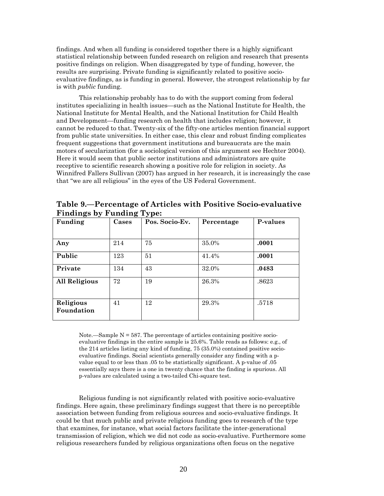findings. And when all funding is considered together there is a highly significant statistical relationship between funded research on religion and research that presents positive findings on religion. When disaggregated by type of funding, however, the results are surprising. Private funding is significantly related to positive socioevaluative findings, as is funding in general. However, the strongest relationship by far is with *public* funding.

This relationship probably has to do with the support coming from federal institutes specializing in health issues—such as the National Institute for Health, the National Institute for Mental Health, and the National Institution for Child Health and Development—funding research on health that includes religion; however, it cannot be reduced to that. Twenty-six of the fifty-one articles mention financial support from public state universities. In either case, this clear and robust finding complicates frequent suggestions that government institutions and bureaucrats are the main motors of secularization (for a sociological version of this argument see Hechter 2004). Here it would seem that public sector institutions and administrators are quite receptive to scientific research showing a positive role for religion in society. As Winnifred Fallers Sullivan (2007) has argued in her research, it is increasingly the case that "we are all religious" in the eyes of the US Federal Government.

| .<br>ອີ້<br>Funding     | ່ວ<br>Cases | $\mathbf{v}$ r $\mathbf{r}$<br>Pos. Socio-Ev. | Percentage | P-values |
|-------------------------|-------------|-----------------------------------------------|------------|----------|
|                         |             |                                               |            |          |
| Any                     | 214         | 75                                            | 35.0%      | .0001    |
| Public                  | 123         | 51                                            | 41.4%      | .0001    |
| Private                 | 134         | 43                                            | 32.0%      | .0483    |
| <b>All Religious</b>    | 72          | 19                                            | 26.3%      | .8623    |
| Religious<br>Foundation | 41          | 12                                            | 29.3%      | .5718    |

**Table 9.—Percentage of Articles with Positive Socio-evaluative Findings by Funding Type:** 

Note.—Sample  $N = 587$ . The percentage of articles containing positive socioevaluative findings in the entire sample is 25.6%. Table reads as follows: e.g., of the 214 articles listing any kind of funding, 75 (35.0%) contained positive socioevaluative findings. Social scientists generally consider any finding with a pvalue equal to or less than .05 to be statistically significant. A p-value of .05 essentially says there is a one in twenty chance that the finding is spurious. All p-values are calculated using a two-tailed Chi-square test.

Religious funding is not significantly related with positive socio-evaluative findings. Here again, these preliminary findings suggest that there is no perceptible association between funding from religious sources and socio-evaluative findings. It could be that much public and private religious funding goes to research of the type that examines, for instance, what social factors facilitate the inter-generational transmission of religion, which we did not code as socio-evaluative. Furthermore some religious researchers funded by religious organizations often focus on the negative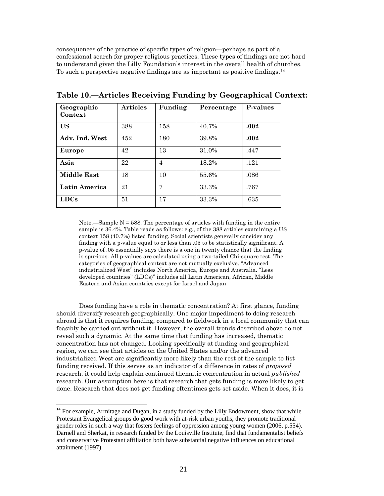consequences of the practice of specific types of religion—perhaps as part of a confessional search for proper religious practices. These types of findings are not hard to understand given the Lilly Foundation's interest in the overall health of churches. To such a perspective negative findings are as important as positive findings.[14](#page-21-0)

| Geographic<br>Context | <b>Articles</b> | Funding        | Percentage | P-values |
|-----------------------|-----------------|----------------|------------|----------|
| <b>US</b>             | 388             | 158            | 40.7%      | .002     |
| Adv. Ind. West        | 452             | 180            | 39.8%      | .002     |
| Europe                | 42              | 13             | 31.0%      | .447     |
| Asia                  | 22              | $\overline{4}$ | 18.2%      | .121     |
| <b>Middle East</b>    | 18              | 10             | 55.6%      | .086     |
| Latin America         | 21              | 7              | 33.3%      | .767     |
| <b>LDCs</b>           | 51              | 17             | 33.3%      | .635     |

**Table 10.—Articles Receiving Funding by Geographical Context:** 

Note.—Sample  $N = 588$ . The percentage of articles with funding in the entire sample is 36.4%. Table reads as follows: e.g., of the 388 articles examining a US context 158 (40.7%) listed funding. Social scientists generally consider any finding with a p-value equal to or less than .05 to be statistically significant. A p-value of .05 essentially says there is a one in twenty chance that the finding is spurious. All p-values are calculated using a two-tailed Chi-square test. The categories of geographical context are not mutually exclusive. "Advanced industrialized West" includes North America, Europe and Australia. "Less developed countries" (LDCs)" includes all Latin American, African, Middle Eastern and Asian countries except for Israel and Japan.

Does funding have a role in thematic concentration? At first glance, funding should diversify research geographically. One major impediment to doing research abroad is that it requires funding, compared to fieldwork in a local community that can feasibly be carried out without it. However, the overall trends described above do not reveal such a dynamic. At the same time that funding has increased, thematic concentration has not changed. Looking specifically at funding and geographical region, we can see that articles on the United States and/or the advanced industrialized West are significantly more likely than the rest of the sample to list funding received. If this serves as an indicator of a difference in rates of *proposed* research, it could help explain continued thematic concentration in actual *published* research. Our assumption here is that research that gets funding is more likely to get done. Research that does not get funding oftentimes gets set aside. When it does, it is

<span id="page-21-0"></span><sup>&</sup>lt;sup>14</sup> For example, Armitage and Dugan, in a study funded by the Lilly Endowment, show that while Protestant Evangelical groups do good work with at-risk urban youths, they promote traditional gender roles in such a way that fosters feelings of oppression among young women (2006, p.554). Darnell and Sherkat, in research funded by the Louisville Institute, find that fundamentalist beliefs and conservative Protestant affiliation both have substantial negative influences on educational attainment (1997).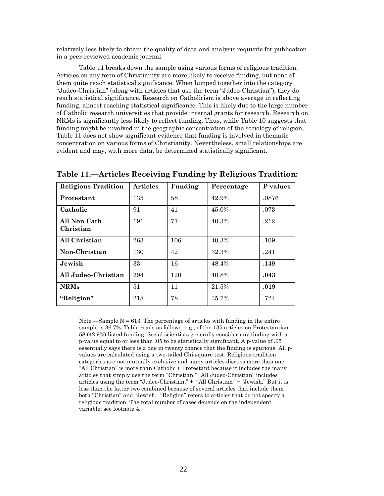relatively less likely to obtain the quality of data and analysis requisite for publication in a peer-reviewed academic journal.

Table 11 breaks down the sample using various forms of religious tradition. Articles on any form of Christianity are more likely to receive funding, but none of them quite reach statistical significance. When lumped together into the category "Judeo-Christian" (along with articles that use the term "Judeo-Christian"), they do reach statistical significance. Research on Catholicism is above average in reflecting funding, almost reaching statistical significance. This is likely due to the large number of Catholic research universities that provide internal grants for research. Research on NRMs is significantly less likely to reflect funding. Thus, while Table 10 suggests that funding might be involved in the geographic concentration of the sociology of religion, Table 11 does not show significant evidence that funding is involved in thematic concentration on various forms of Christianity. Nevertheless, small relationships are evident and may, with more data, be determined statistically significant.

| <b>Religious Tradition</b> | <b>Articles</b> | Funding | Percentage | P values |
|----------------------------|-----------------|---------|------------|----------|
| Protestant                 | 135             | 58      | 42.9%      | .0876    |
| Catholic                   | 91              | 41      | 45.0%      | .073     |
| All Non Cath<br>Christian  | 191             | 77      | 40.3%      | .212     |
| All Christian              | 263             | 106     | 40.3%      | .109     |
| Non-Christian              | 130             | 42      | 32.3%      | .241     |
| Jewish                     | 33              | 16      | 48.4%      | .149     |
| All Judeo-Christian        | 294             | 120     | 40.8%      | .043     |
| <b>NRMs</b>                | 51              | 11      | 21.5%      | .019     |
| "Religion"                 | 218             | 78      | 35.7%      | .724     |

**Table 11.—Articles Receiving Funding by Religious Tradition:** 

Note.—Sample  $N = 613$ . The percentage of articles with funding in the entire sample is 36.7%. Table reads as follows: e.g., of the 135 articles on Protestantism 58 (42.9%) listed funding. Social scientists generally consider any finding with a p-value equal to or less than .05 to be statistically significant. A p-value of .05 essentially says there is a one in twenty chance that the finding is spurious. All pvalues are calculated using a two-tailed Chi-square test. Religious tradition categories are not mutually exclusive and many articles discuss more than one. "All Christian" is more than Catholic + Protestant because it includes the many articles that simply use the term "Christian." "All Judeo-Christian" includes articles using the term "Judeo-Christian," + "All Christian" + "Jewish." But it is less than the latter two combined because of several articles that include them both "Christian" and "Jewish." "Religion" refers to articles that do not specify a religious tradition. The total number of cases depends on the independent variable; see footnote 4.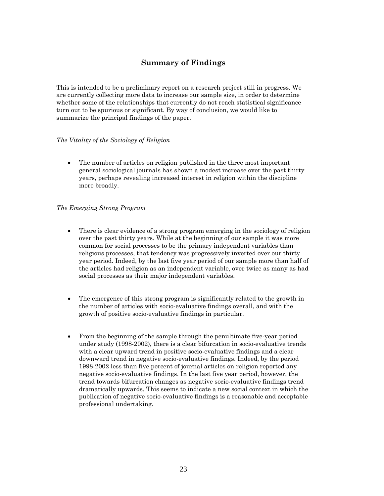#### **Summary of Findings**

This is intended to be a preliminary report on a research project still in progress. We are currently collecting more data to increase our sample size, in order to determine whether some of the relationships that currently do not reach statistical significance turn out to be spurious or significant. By way of conclusion, we would like to summarize the principal findings of the paper.

#### *The Vitality of the Sociology of Religion*

• The number of articles on religion published in the three most important general sociological journals has shown a modest increase over the past thirty years, perhaps revealing increased interest in religion within the discipline more broadly.

#### *The Emerging Strong Program*

- There is clear evidence of a strong program emerging in the sociology of religion over the past thirty years. While at the beginning of our sample it was more common for social processes to be the primary independent variables than religious processes, that tendency was progressively inverted over our thirty year period. Indeed, by the last five year period of our sample more than half of the articles had religion as an independent variable, over twice as many as had social processes as their major independent variables.
- The emergence of this strong program is significantly related to the growth in the number of articles with socio-evaluative findings overall, and with the growth of positive socio-evaluative findings in particular.
- From the beginning of the sample through the penultimate five-year period under study (1998-2002), there is a clear bifurcation in socio-evaluative trends with a clear upward trend in positive socio-evaluative findings and a clear downward trend in negative socio-evaluative findings. Indeed, by the period 1998-2002 less than five percent of journal articles on religion reported any negative socio-evaluative findings. In the last five year period, however, the trend towards bifurcation changes as negative socio-evaluative findings trend dramatically upwards. This seems to indicate a new social context in which the publication of negative socio-evaluative findings is a reasonable and acceptable professional undertaking.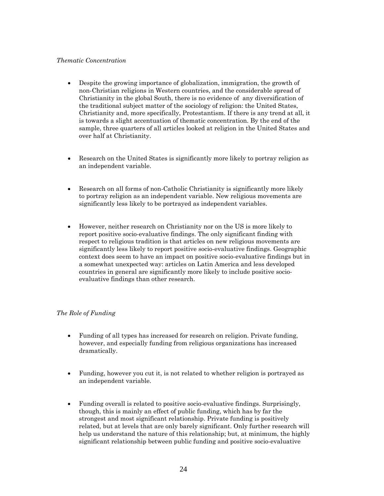#### *Thematic Concentration*

- Despite the growing importance of globalization, immigration, the growth of non-Christian religions in Western countries, and the considerable spread of Christianity in the global South, there is no evidence of any diversification of the traditional subject matter of the sociology of religion: the United States, Christianity and, more specifically, Protestantism. If there is any trend at all, it is towards a slight accentuation of thematic concentration. By the end of the sample, three quarters of all articles looked at religion in the United States and over half at Christianity.
- Research on the United States is significantly more likely to portray religion as an independent variable.
- Research on all forms of non-Catholic Christianity is significantly more likely to portray religion as an independent variable. New religious movements are significantly less likely to be portrayed as independent variables.
- However, neither research on Christianity nor on the US is more likely to report positive socio-evaluative findings. The only significant finding with respect to religious tradition is that articles on new religious movements are significantly less likely to report positive socio-evaluative findings. Geographic context does seem to have an impact on positive socio-evaluative findings but in a somewhat unexpected way: articles on Latin America and less developed countries in general are significantly more likely to include positive socioevaluative findings than other research.

#### *The Role of Funding*

- Funding of all types has increased for research on religion. Private funding, however, and especially funding from religious organizations has increased dramatically.
- Funding, however you cut it, is not related to whether religion is portrayed as an independent variable.
- Funding overall is related to positive socio-evaluative findings. Surprisingly, though, this is mainly an effect of public funding, which has by far the strongest and most significant relationship. Private funding is positively related, but at levels that are only barely significant. Only further research will help us understand the nature of this relationship; but, at minimum, the highly significant relationship between public funding and positive socio-evaluative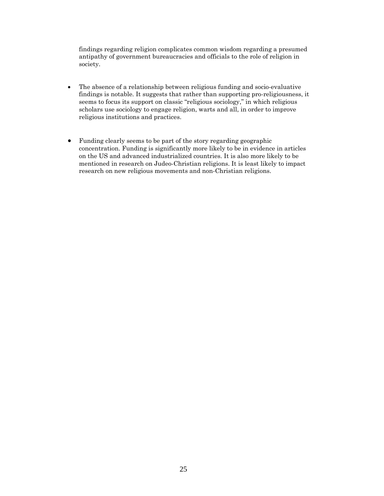findings regarding religion complicates common wisdom regarding a presumed antipathy of government bureaucracies and officials to the role of religion in society.

- The absence of a relationship between religious funding and socio-evaluative findings is notable. It suggests that rather than supporting pro-religiousness, it seems to focus its support on classic "religious sociology," in which religious scholars use sociology to engage religion, warts and all, in order to improve religious institutions and practices.
- Funding clearly seems to be part of the story regarding geographic concentration. Funding is significantly more likely to be in evidence in articles on the US and advanced industrialized countries. It is also more likely to be mentioned in research on Judeo-Christian religions. It is least likely to impact research on new religious movements and non-Christian religions.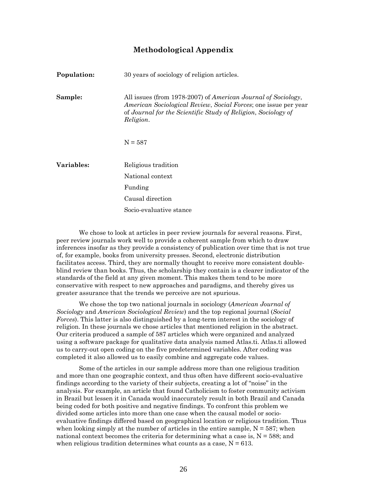#### **Methodological Appendix**

| Population: | 30 years of sociology of religion articles.                                                                                                                                                                           |
|-------------|-----------------------------------------------------------------------------------------------------------------------------------------------------------------------------------------------------------------------|
| Sample:     | All issues (from 1978-2007) of American Journal of Sociology,<br><i>American Sociological Review, Social Forces;</i> one issue per year<br>of Journal for the Scientific Study of Religion, Sociology of<br>Religion. |
|             | $N = 587$                                                                                                                                                                                                             |
| Variables:  | Religious tradition                                                                                                                                                                                                   |
|             | National context                                                                                                                                                                                                      |
|             | Funding                                                                                                                                                                                                               |
|             | Causal direction                                                                                                                                                                                                      |
|             | Socio-evaluative stance                                                                                                                                                                                               |

We chose to look at articles in peer review journals for several reasons. First, peer review journals work well to provide a coherent sample from which to draw inferences insofar as they provide a consistency of publication over time that is not true of, for example, books from university presses. Second, electronic distribution facilitates access. Third, they are normally thought to receive more consistent doubleblind review than books. Thus, the scholarship they contain is a clearer indicator of the standards of the field at any given moment. This makes them tend to be more conservative with respect to new approaches and paradigms, and thereby gives us greater assurance that the trends we perceive are not spurious.

We chose the top two national journals in sociology (*American Journal of Sociology* and *American Sociological Review*) and the top regional journal (*Social Forces*). This latter is also distinguished by a long-term interest in the sociology of religion. In these journals we chose articles that mentioned religion in the abstract. Our criteria produced a sample of 587 articles which were organized and analyzed using a software package for qualitative data analysis named Atlas.ti. Atlas.ti allowed us to carry-out open coding on the five predetermined variables. After coding was completed it also allowed us to easily combine and aggregate code values.

Some of the articles in our sample address more than one religious tradition and more than one geographic context, and thus often have different socio-evaluative findings according to the variety of their subjects, creating a lot of "noise" in the analysis. For example, an article that found Catholicism to foster community activism in Brazil but lessen it in Canada would inaccurately result in both Brazil and Canada being coded for both positive and negative findings. To confront this problem we divided some articles into more than one case when the causal model or socioevaluative findings differed based on geographical location or religious tradition. Thus when looking simply at the number of articles in the entire sample,  $N = 587$ ; when national context becomes the criteria for determining what a case is,  $N = 588$ ; and when religious tradition determines what counts as a case,  $N = 613$ .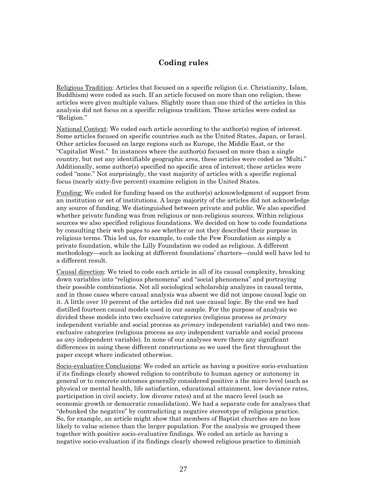#### **Coding rules**

Religious Tradition: Articles that focused on a specific religion (i.e. Christianity, Islam, Buddhism) were coded as such. If an article focused on more than one religion, these articles were given multiple values. Slightly more than one third of the articles in this analysis did not focus on a specific religious tradition. These articles were coded as "Religion."

National Context: We coded each article according to the author(s) region of interest. Some articles focused on specific countries such as the United States, Japan, or Israel. Other articles focused on large regions such as Europe, the Middle East, or the "Capitalist West." In instances where the author(s) focused on more than a single country, but not any identifiable geographic area, these articles were coded as "Multi." Additionally, some author(s) specified no specific area of interest; these articles were coded "none." Not surprisingly, the vast majority of articles with a specific regional focus (nearly sixty-five percent) examine religion in the United States.

Funding: We coded for funding based on the author(s) acknowledgment of support from an institution or set of institutions. A large majority of the articles did not acknowledge any source of funding. We distinguished between private and public. We also specified whether private funding was from religious or non-religious sources. Within religious sources we also specified religious foundations. We decided on how to code foundations by consulting their web pages to see whether or not they described their purpose in religious terms. This led us, for example, to code the Pew Foundation as simply a private foundation, while the Lilly Foundation we coded as religious. A different methodology—such as looking at different foundations' charters—could well have led to a different result.

Causal direction: We tried to code each article in all of its causal complexity, breaking down variables into "religious phenomena" and "social phenomena" and portraying their possible combinations. Not all sociological scholarship analyzes in causal terms, and in those cases where causal analysis was absent we did not impose causal logic on it. A little over 10 percent of the articles did not use causal logic. By the end we had distilled fourteen causal models used in our sample. For the purpose of analysis we divided these models into two exclusive categories (religious process as *primary* independent variable and social process as *primary* independent variable) and two nonexclusive categories (religious process as *any* independent variable and social process as *any* independent variable). In none of our analyses were there any significant differences in using these different constructions so we used the first throughout the paper except where indicated otherwise.

Socio-evaluative Conclusions: We coded an article as having a positive socio-evaluation if its findings clearly showed religion to contribute to human agency or autonomy in general or to concrete outcomes generally considered positive a the micro level (such as physical or mental health, life satisfaction, educational attainment, low deviance rates, participation in civil society, low divorce rates) and at the macro level (such as economic growth or democratic consolidation). We had a separate code for analyses that "debunked the negative" by contradicting a negative stereotype of religious practice. So, for example, an article might show that members of Baptist churches are no less likely to value science than the larger population. For the analysis we grouped these together with positive socio-evaluative findings. We coded an article as having a negative socio-evaluation if its findings clearly showed religious practice to diminish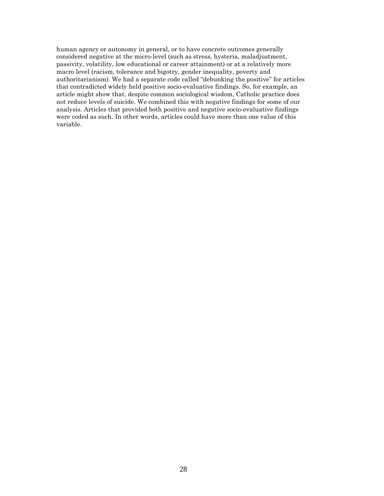human agency or autonomy in general, or to have concrete outcomes generally considered negative at the micro-level (such as stress, hysteria, maladjustment, passivity, volatility, low educational or career attainment) or at a relatively more macro level (racism, tolerance and bigotry, gender inequality, poverty and authoritarianism). We had a separate code called "debunking the positive" for articles that contradicted widely held positive socio-evaluative findings. So, for example, an article might show that, despite common sociological wisdom, Catholic practice does not reduce levels of suicide. We combined this with negative findings for some of our analysis. Articles that provided both positive and negative socio-evaluative findings were coded as such. In other words, articles could have more than one value of this variable.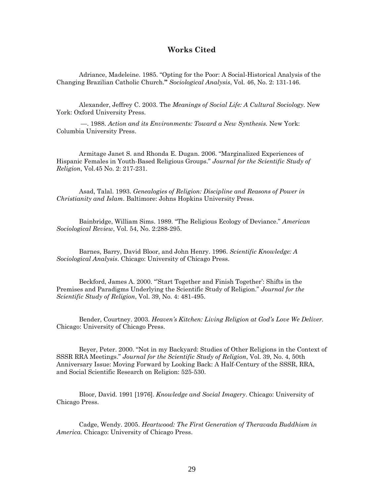#### **Works Cited**

Adriance, Madeleine. 1985. "Opting for the Poor: A Social-Historical Analysis of the Changing Brazilian Catholic Church.**"** *Sociological Analysis*, Vol. 46, No. 2: 131-146.

Alexander, Jeffrey C. 2003. The *Meanings of Social Life: A Cultural Sociology.* New York: Oxford University Press.

 —. 1988. *Action and its Environments: Toward a New Synthesis.* New York: Columbia University Press.

Armitage Janet S. and Rhonda E. Dugan. 2006. "Marginalized Experiences of Hispanic Females in Youth-Based Religious Groups." *Journal for the Scientific Study of Religion*, Vol.45 No. 2: 217-231.

Asad, Talal. 1993. *Genealogies of Religion: Discipline and Reasons of Power in Christianity and Islam*. Baltimore: Johns Hopkins University Press.

Bainbridge, William Sims. 1989. "The Religious Ecology of Deviance." *American Sociological Review*, Vol. 54, No. 2:288-295.

Barnes, Barry, David Bloor, and John Henry. 1996. *Scientific Knowledge: A Sociological Analysis*. Chicago: University of Chicago Press.

Beckford, James A. 2000. "'Start Together and Finish Together': Shifts in the Premises and Paradigms Underlying the Scientific Study of Religion." *Journal for the Scientific Study of Religion*, Vol. 39, No. 4: 481-495.

Bender, Courtney. 2003. *Heaven's Kitchen: Living Religion at God's Love We Deliver.* Chicago: University of Chicago Press.

Beyer, Peter. 2000. "Not in my Backyard: Studies of Other Religions in the Context of SSSR RRA Meetings." *Journal for the Scientific Study of Religion*, Vol. 39, No. 4, 50th Anniversary Issue: Moving Forward by Looking Back: A Half-Century of the SSSR, RRA, and Social Scientific Research on Religion: 525-530.

Bloor, David. 1991 [1976]. *Knowledge and Social Imagery*. Chicago: University of Chicago Press.

Cadge, Wendy. 2005. *Heartwood: The First Generation of Theravada Buddhism in America.* Chicago: University of Chicago Press.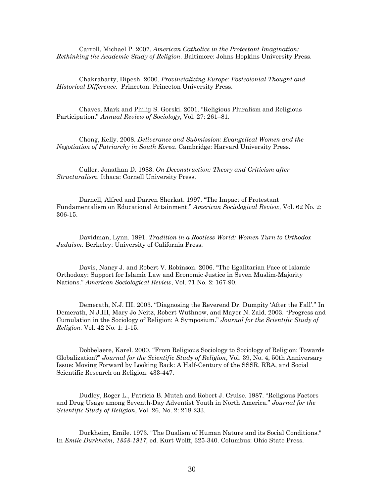Carroll, Michael P. 2007. *American Catholics in the Protestant Imagination: Rethinking the Academic Study of Religion.* Baltimore: Johns Hopkins University Press.

Chakrabarty, Dipesh. 2000. *Provincializing Europe: Postcolonial Thought and Historical Difference*. Princeton: Princeton University Press.

Chaves, Mark and Philip S. Gorski. 2001. "Religious Pluralism and Religious Participation." *Annual Review of Sociology*, Vol. 27: 261–81.

Chong, Kelly. 2008. *Deliverance and Submission: Evangelical Women and the Negotiation of Patriarchy in South Korea*. Cambridge: Harvard University Press.

Culler, Jonathan D. 1983. *On Deconstruction: Theory and Criticism after Structuralism.* Ithaca: Cornell University Press.

Darnell, Alfred and Darren Sherkat. 1997. "The Impact of Protestant Fundamentalism on Educational Attainment." *American Sociological Review,* Vol. 62 No. 2: 306-15.

Davidman, Lynn. 1991. *Tradition in a Rootless World: Women Turn to Orthodox Judaism.* Berkeley: University of California Press.

Davis, Nancy J. and Robert V. Robinson. 2006. "The Egalitarian Face of Islamic Orthodoxy: Support for Islamic Law and Economic Justice in Seven Muslim-Majority Nations." *American Sociological Review*, Vol. 71 No. 2: 167-90.

Demerath, N.J. III. 2003. "Diagnosing the Reverend Dr. Dumpity 'After the Fall'." In Demerath, N.J.III, Mary Jo Neitz, Robert Wuthnow, and Mayer N. Zald. 2003. "Progress and Cumulation in the Sociology of Religion: A Symposium." *Journal for the Scientific Study of Religion.* Vol. 42 No. 1: 1-15.

Dobbelaere, Karel. 2000. "From Religious Sociology to Sociology of Religion: Towards Globalization?" *Journal for the Scientific Study of Religion*, Vol. 39, No. 4, 50th Anniversary Issue: Moving Forward by Looking Back: A Half-Century of the SSSR, RRA, and Social Scientific Research on Religion: 433-447.

Dudley, Roger L., Patricia B. Mutch and Robert J. Cruise. 1987. "Religious Factors and Drug Usage among Seventh-Day Adventist Youth in North America." *Journal for the Scientific Study of Religion*, Vol. 26, No. 2: 218-233.

Durkheim, Emile. 1973. "The Dualism of Human Nature and its Social Conditions." In *Emile Durkheim, 1858-1917*, ed. Kurt Wolff, 325-340. Columbus: Ohio State Press.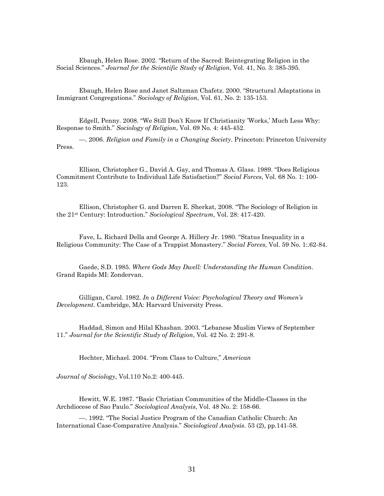Ebaugh, Helen Rose. 2002. "Return of the Sacred: Reintegrating Religion in the Social Sciences." *Journal for the Scientific Study of Religion*, Vol. 41, No. 3: 385-395.

Ebaugh, Helen Rose and Janet Saltzman Chafetz. 2000. "Structural Adaptations in Immigrant Congregations." *Sociology of Religion*, Vol. 61, No. 2: 135-153.

Edgell, Penny. 2008. "We Still Don't Know If Christianity 'Works,' Much Less Why: Response to Smith." *Sociology of Religion*, Vol. 69 No. 4: 445-452.

—. 2006. *Religion and Family in a Changing Society*. Princeton: Princeton University Press.

Ellison, Christopher G., David A. Gay, and Thomas A. Glass. 1989. "Does Religious Commitment Contribute to Individual Life Satisfaction?" *Social Forces*, Vol. 68 No. 1: 100- 123.

Ellison, Christopher G. and Darren E. Sherkat, 2008. "The Sociology of Religion in the 21st Century: Introduction." *Sociological Spectrum,* Vol. 28: 417-420.

Fave, L. Richard Della and George A. Hillery Jr. 1980. "Status Inequality in a Religious Community: The Case of a Trappist Monastery." *Social Forces*, Vol. 59 No. 1:.62-84.

Gaede, S.D. 1985. *Where Gods May Dwell: Understanding the Human Condition.* Grand Rapids MI: Zondervan.

Gilligan, Carol. 1982. *In a Different Voice: Psychological Theory and Women's Development*. Cambridge, MA: Harvard University Press.

Haddad, Simon and Hilal Khashan. 2003. "Lebanese Muslim Views of September 11." *Journal for the Scientific Study of Religion*, Vol. 42 No. 2: 291-8.

Hechter, Michael. 2004. "From Class to Culture," *American* 

*Journal of Sociology*, Vol.110 No.2: 400-445.

Hewitt, W.E. 1987. "Basic Christian Communities of the Middle-Classes in the Archdiocese of Sao Paulo." *Sociological Analysis*, Vol. 48 No. 2: 158-66.

—. 1992. "The Social Justice Program of the Canadian Catholic Church: An International Case-Comparative Analysis." *Sociological Analysis*. 53 (2), pp.141-58.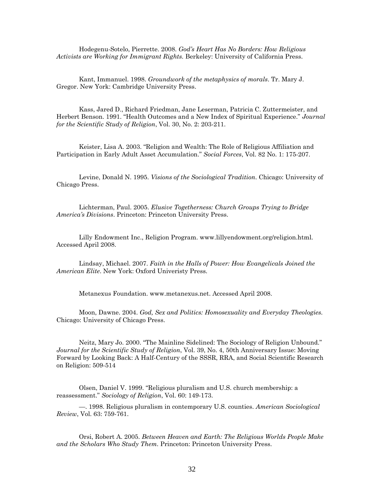Hodegenu-Sotelo, Pierrette. 2008. *God's Heart Has No Borders: How Religious Activists are Working for Immigrant Rights.* Berkeley: University of California Press.

Kant, Immanuel. 1998. *Groundwork of the metaphysics of morals*. Tr. Mary J. Gregor. New York: Cambridge University Press.

Kass, Jared D., Richard Friedman, Jane Leserman, Patricia C. Zuttermeister, and Herbert Benson. 1991. "Health Outcomes and a New Index of Spiritual Experience." *Journal for the Scientific Study of Religion*, Vol. 30, No. 2: 203-211.

Keister, Lisa A. 2003. "Religion and Wealth: The Role of Religious Affiliation and Participation in Early Adult Asset Accumulation." *Social Forces*, Vol. 82 No. 1: 175-207.

Levine, Donald N. 1995. *Visions of the Sociological Tradition*. Chicago: University of Chicago Press.

Lichterman, Paul. 2005. *Elusive Togetherness: Church Groups Trying to Bridge America's Divisions*. Princeton: Princeton University Press.

Lilly Endowment Inc., Religion Program. www.lillyendowment.org/religion.html. Accessed April 2008.

Lindsay, Michael. 2007. *Faith in the Halls of Power: How Evangelicals Joined the American Elite*. New York: Oxford Univeristy Press.

Metanexus Foundation. www.metanexus.net. Accessed April 2008.

Moon, Dawne. 2004. *God, Sex and Politics: Homosexuality and Everyday Theologies.* Chicago: University of Chicago Press.

Neitz, Mary Jo. 2000. "The Mainline Sidelined: The Sociology of Religion Unbound." *Journal for the Scientific Study of Religion*, Vol. 39, No. 4, 50th Anniversary Issue: Moving Forward by Looking Back: A Half-Century of the SSSR, RRA, and Social Scientific Research on Religion: 509-514

Olsen, Daniel V. 1999. "Religious pluralism and U.S. church membership: a reassessment." *Sociology of Religion*, Vol. 60: 149-173.

—. 1998. Religious pluralism in contemporary U.S. counties. *American Sociological Review*, Vol. 63: 759-761.

Orsi, Robert A. 2005. *Between Heaven and Earth: The Religious Worlds People Make and the Scholars Who Study Them.* Princeton: Princeton University Press.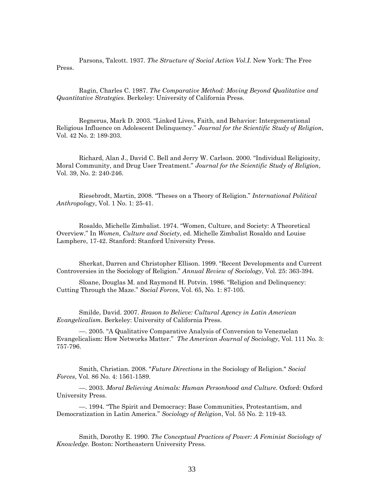Parsons, Talcott. 1937. *The Structure of Social Action Vol.I.* New York: The Free Press.

Ragin, Charles C. 1987. *The Comparative Method: Moving Beyond Qualitative and Quantitative Strategies*. Berkeley: University of California Press.

Regnerus, Mark D. 2003. "Linked Lives, Faith, and Behavior: Intergenerational Religious Influence on Adolescent Delinquency." *Journal for the Scientific Study of Religion*, Vol. 42 No. 2: 189-203.

Richard, Alan J., David C. Bell and Jerry W. Carlson. 2000. "Individual Religiosity, Moral Community, and Drug User Treatment." *Journal for the Scientific Study of Religion*, Vol. 39, No. 2: 240-246.

Riesebrodt, Martin, 2008. "Theses on a Theory of Religion." *International Political Anthropology*, Vol. 1 No. 1: 25-41.

Rosaldo, Michelle Zimbalist. 1974. "Women, Culture, and Society: A Theoretical Overview." In *Women, Culture and Society*, ed. Michelle Zimbalist Rosaldo and Louise Lamphere, 17-42. Stanford: Stanford University Press.

Sherkat, Darren and Christopher Ellison. 1999. "Recent Developments and Current Controversies in the Sociology of Religion." *Annual Review of Sociology*, Vol. 25: 363-394.

Sloane, Douglas M. and Raymond H. Potvin. 1986. "Religion and Delinquency: Cutting Through the Maze." *Social Forces*, Vol. 65, No. 1: 87-105.

Smilde, David. 2007. *Reason to Believe: Cultural Agency in Latin American Evangelicalism.* Berkeley: University of California Press.

—. 2005. "A Qualitative Comparative Analysis of Conversion to Venezuelan Evangelicalism: How Networks Matter." *The American Journal of Sociology*, Vol. 111 No. 3: 757-796.

Smith, Christian. 2008. "*Future Directions* in the Sociology of Religion." *Social Forces*, Vol. 86 No. 4: 1561-1589.

—. 2003. *Moral Believing Animals: Human Personhood and Culture*. Oxford: Oxford University Press.

—. 1994. "The Spirit and Democracy: Base Communities, Protestantism, and Democratization in Latin America." *Sociology of Religion*, Vol. 55 No. 2: 119-43.

Smith, Dorothy E. 1990. *The Conceptual Practices of Power: A Feminist Sociology of Knowledge.* Boston: Northeastern University Press.